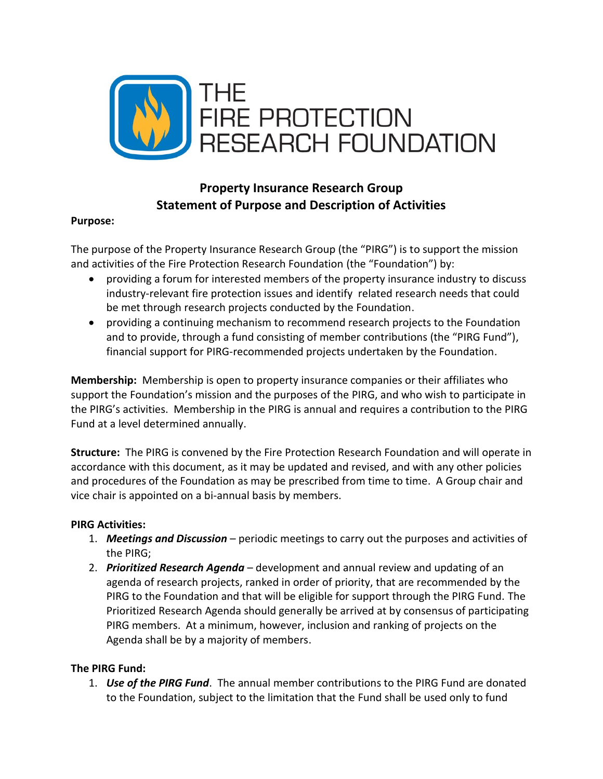

## **Property Insurance Research Group Statement of Purpose and Description of Activities**

## **Purpose:**

The purpose of the Property Insurance Research Group (the "PIRG") is to support the mission and activities of the Fire Protection Research Foundation (the "Foundation") by:

- providing a forum for interested members of the property insurance industry to discuss industry-relevant fire protection issues and identify related research needs that could be met through research projects conducted by the Foundation.
- providing a continuing mechanism to recommend research projects to the Foundation and to provide, through a fund consisting of member contributions (the "PIRG Fund"), financial support for PIRG-recommended projects undertaken by the Foundation.

**Membership:** Membership is open to property insurance companies or their affiliates who support the Foundation's mission and the purposes of the PIRG, and who wish to participate in the PIRG's activities. Membership in the PIRG is annual and requires a contribution to the PIRG Fund at a level determined annually.

**Structure:** The PIRG is convened by the Fire Protection Research Foundation and will operate in accordance with this document, as it may be updated and revised, and with any other policies and procedures of the Foundation as may be prescribed from time to time. A Group chair and vice chair is appointed on a bi-annual basis by members.

## **PIRG Activities:**

- 1. *Meetings and Discussion* periodic meetings to carry out the purposes and activities of the PIRG;
- 2. *Prioritized Research Agenda* development and annual review and updating of an agenda of research projects, ranked in order of priority, that are recommended by the PIRG to the Foundation and that will be eligible for support through the PIRG Fund. The Prioritized Research Agenda should generally be arrived at by consensus of participating PIRG members. At a minimum, however, inclusion and ranking of projects on the Agenda shall be by a majority of members.

## **The PIRG Fund:**

1. *Use of the PIRG Fund*. The annual member contributions to the PIRG Fund are donated to the Foundation, subject to the limitation that the Fund shall be used only to fund